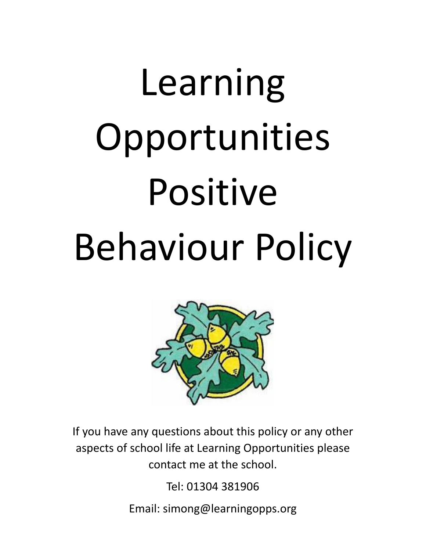# Learning Opportunities Positive Behaviour Policy



If you have any questions about this policy or any other aspects of school life at Learning Opportunities please contact me at the school.

Tel: 01304 381906

Email: simong@learningopps.org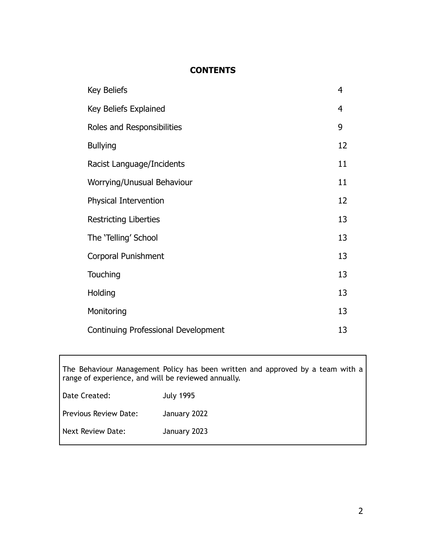## **CONTENTS**

| Key Beliefs                         | $\overline{4}$ |
|-------------------------------------|----------------|
| Key Beliefs Explained               | 4              |
| Roles and Responsibilities          | 9              |
| <b>Bullying</b>                     | 12             |
| Racist Language/Incidents           | 11             |
| Worrying/Unusual Behaviour          | 11             |
| Physical Intervention               | 12             |
| <b>Restricting Liberties</b>        | 13             |
| The 'Telling' School                | 13             |
| Corporal Punishment                 | 13             |
| Touching                            | 13             |
| Holding                             | 13             |
| Monitoring                          | 13             |
| Continuing Professional Development | 13             |

The Behaviour Management Policy has been written and approved by a team with a range of experience, and will be reviewed annually.

| Date Created:         | <b>July 1995</b> |
|-----------------------|------------------|
| Previous Review Date: | January 2022     |
| Next Review Date:     | January 2023     |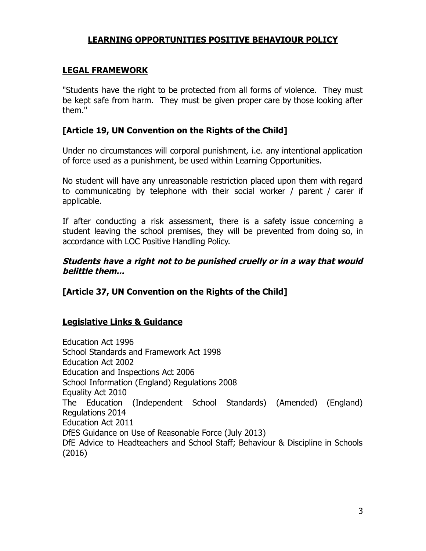## **LEARNING OPPORTUNITIES POSITIVE BEHAVIOUR POLICY**

#### **LEGAL FRAMEWORK**

"Students have the right to be protected from all forms of violence. They must be kept safe from harm. They must be given proper care by those looking after them."

#### **[Article 19, UN Convention on the Rights of the Child]**

Under no circumstances will corporal punishment, i.e. any intentional application of force used as a punishment, be used within Learning Opportunities.

No student will have any unreasonable restriction placed upon them with regard to communicating by telephone with their social worker / parent / carer if applicable.

If after conducting a risk assessment, there is a safety issue concerning a student leaving the school premises, they will be prevented from doing so, in accordance with LOC Positive Handling Policy.

#### **Students have <sup>a</sup> right not to be punished cruelly or in <sup>a</sup> way that would belittle them...**

#### **[Article 37, UN Convention on the Rights of the Child]**

#### **Legislative Links & Guidance**

Education Act 1996 School Standards and Framework Act 1998 Education Act 2002 Education and Inspections Act 2006 School Information (England) Regulations 2008 Equality Act 2010 The Education (Independent School Standards) (Amended) (England) Regulations 2014 Education Act 2011 DfES Guidance on Use of Reasonable Force (July 2013) DfE Advice to Headteachers and School Staff; Behaviour & Discipline in Schools (2016)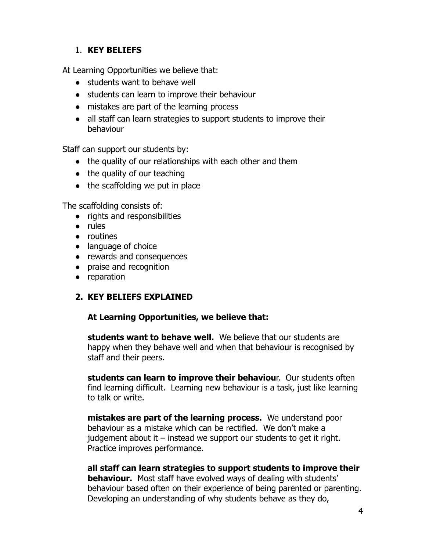## 1. **KEY BELIEFS**

At Learning Opportunities we believe that:

- students want to behave well
- students can learn to improve their behaviour
- mistakes are part of the learning process
- all staff can learn strategies to support students to improve their behaviour

Staff can support our students by:

- the quality of our relationships with each other and them
- $\bullet$  the quality of our teaching
- the scaffolding we put in place

The scaffolding consists of:

- rights and responsibilities
- rules
- routines
- language of choice
- rewards and consequences
- praise and recognition
- reparation

## **2. KEY BELIEFS EXPLAINED**

## **At Learning Opportunities, we believe that:**

**students want to behave well.** We believe that our students are happy when they behave well and when that behaviour is recognised by staff and their peers.

**students can learn to improve their behaviou**r. Our students often find learning difficult. Learning new behaviour is a task, just like learning to talk or write.

**mistakes are part of the learning process.** We understand poor behaviour as a mistake which can be rectified. We don't make a judgement about it – instead we support our students to get it right. Practice improves performance.

**all staff can learn strategies to support students to improve their behaviour.** Most staff have evolved ways of dealing with students' behaviour based often on their experience of being parented or parenting. Developing an understanding of why students behave as they do,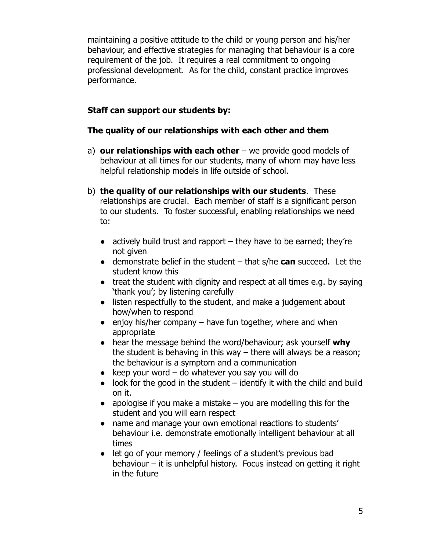maintaining a positive attitude to the child or young person and his/her behaviour, and effective strategies for managing that behaviour is a core requirement of the job. It requires a real commitment to ongoing professional development. As for the child, constant practice improves performance.

## **Staff can support our students by:**

## **The quality of our relationships with each other and them**

- a) **our relationships with each other** we provide good models of behaviour at all times for our students, many of whom may have less helpful relationship models in life outside of school.
- b) **the quality of our relationships with our students**. These relationships are crucial. Each member of staff is a significant person to our students. To foster successful, enabling relationships we need to:
	- $\bullet$  actively build trust and rapport they have to be earned; they're not given
	- demonstrate belief in the student that s/he **can** succeed. Let the student know this
	- $\bullet$  treat the student with dignity and respect at all times e.g. by saying 'thank you'; by listening carefully
	- listen respectfully to the student, and make a judgement about how/when to respond
	- $\bullet$  enjoy his/her company have fun together, where and when appropriate
	- hear the message behind the word/behaviour; ask yourself **why** the student is behaving in this way – there will always be a reason; the behaviour is a symptom and a communication
	- $\bullet$  keep your word do whatever you say you will do
	- $\bullet$  look for the good in the student identify it with the child and build on it.
	- apologise if you make a mistake  $-$  you are modelling this for the student and you will earn respect
	- name and manage your own emotional reactions to students' behaviour i.e. demonstrate emotionally intelligent behaviour at all times
	- let go of your memory / feelings of a student's previous bad behaviour – it is unhelpful history. Focus instead on getting it right in the future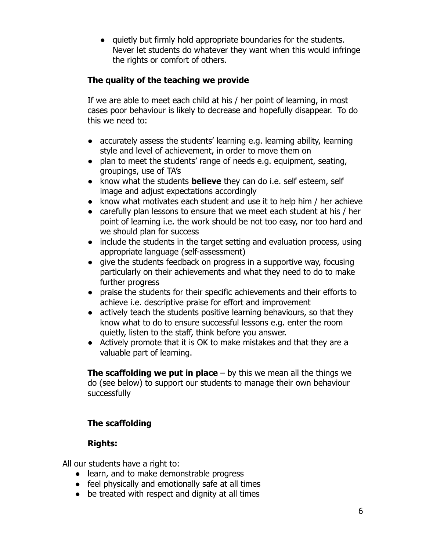● quietly but firmly hold appropriate boundaries for the students. Never let students do whatever they want when this would infringe the rights or comfort of others.

## **The quality of the teaching we provide**

If we are able to meet each child at his / her point of learning, in most cases poor behaviour is likely to decrease and hopefully disappear. To do this we need to:

- accurately assess the students' learning e.g. learning ability, learning style and level of achievement, in order to move them on
- plan to meet the students' range of needs e.g. equipment, seating, groupings, use of TA's
- know what the students **believe** they can do i.e. self esteem, self image and adjust expectations accordingly
- know what motivates each student and use it to help him / her achieve
- carefully plan lessons to ensure that we meet each student at his / her point of learning i.e. the work should be not too easy, nor too hard and we should plan for success
- include the students in the target setting and evaluation process, using appropriate language (self-assessment)
- give the students feedback on progress in a supportive way, focusing particularly on their achievements and what they need to do to make further progress
- praise the students for their specific achievements and their efforts to achieve i.e. descriptive praise for effort and improvement
- actively teach the students positive learning behaviours, so that they know what to do to ensure successful lessons e.g. enter the room quietly, listen to the staff, think before you answer.
- Actively promote that it is OK to make mistakes and that they are a valuable part of learning.

**The scaffolding we put in place** – by this we mean all the things we do (see below) to support our students to manage their own behaviour successfully

# **The scaffolding**

# **Rights:**

All our students have a right to:

- learn, and to make demonstrable progress
- feel physically and emotionally safe at all times
- be treated with respect and dignity at all times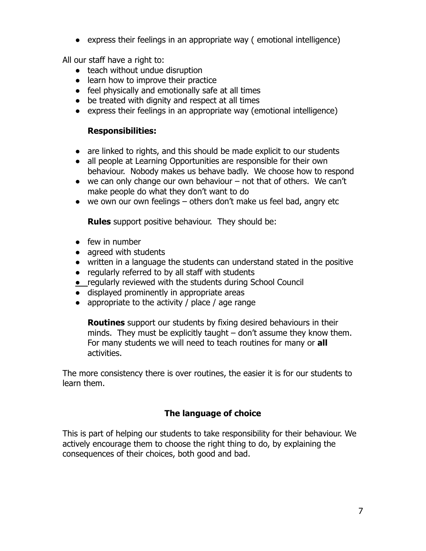● express their feelings in an appropriate way ( emotional intelligence)

All our staff have a right to:

- teach without undue disruption
- learn how to improve their practice
- feel physically and emotionally safe at all times
- be treated with dignity and respect at all times
- express their feelings in an appropriate way (emotional intelligence)

#### **Responsibilities:**

- are linked to rights, and this should be made explicit to our students
- all people at Learning Opportunities are responsible for their own behaviour. Nobody makes us behave badly. We choose how to respond
- $\bullet$  we can only change our own behaviour not that of others. We can't make people do what they don't want to do
- we own our own feelings others don't make us feel bad, angry etc

**Rules** support positive behaviour. They should be:

- few in number
- agreed with students
- written in a language the students can understand stated in the positive
- regularly referred to by all staff with students
- regularly reviewed with the students during School Council
- displayed prominently in appropriate areas
- $\bullet$  appropriate to the activity / place / age range

**Routines** support our students by fixing desired behaviours in their minds. They must be explicitly taught – don't assume they know them. For many students we will need to teach routines for many or **all** activities.

The more consistency there is over routines, the easier it is for our students to learn them.

## **The language of choice**

This is part of helping our students to take responsibility for their behaviour. We actively encourage them to choose the right thing to do, by explaining the consequences of their choices, both good and bad.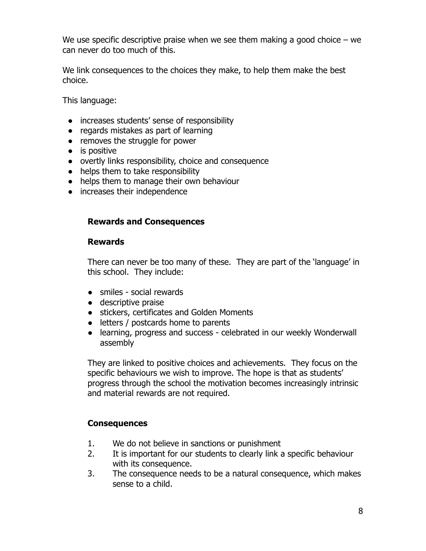We use specific descriptive praise when we see them making a good choice  $-$  we can never do too much of this.

We link consequences to the choices they make, to help them make the best choice.

This language:

- increases students' sense of responsibility
- regards mistakes as part of learning
- removes the struggle for power
- is positive
- overtly links responsibility, choice and consequence
- helps them to take responsibility
- helps them to manage their own behaviour
- increases their independence

#### **Rewards and Consequences**

#### **Rewards**

There can never be too many of these. They are part of the 'language' in this school. They include:

- smiles social rewards
- descriptive praise
- stickers, certificates and Golden Moments
- letters / postcards home to parents
- learning, progress and success celebrated in our weekly Wonderwall assembly

They are linked to positive choices and achievements. They focus on the specific behaviours we wish to improve. The hope is that as students' progress through the school the motivation becomes increasingly intrinsic and material rewards are not required.

## **Consequences**

- 1. We do not believe in sanctions or punishment
- 2. It is important for our students to clearly link a specific behaviour with its consequence.
- 3. The consequence needs to be a natural consequence, which makes sense to a child.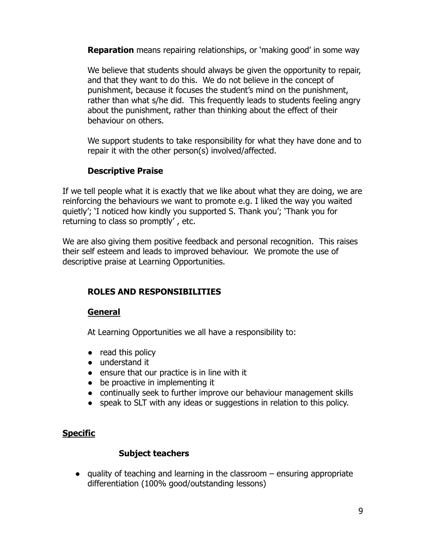**Reparation** means repairing relationships, or 'making good' in some way

We believe that students should always be given the opportunity to repair, and that they want to do this. We do not believe in the concept of punishment, because it focuses the student's mind on the punishment, rather than what s/he did. This frequently leads to students feeling angry about the punishment, rather than thinking about the effect of their behaviour on others.

We support students to take responsibility for what they have done and to repair it with the other person(s) involved/affected.

## **Descriptive Praise**

If we tell people what it is exactly that we like about what they are doing, we are reinforcing the behaviours we want to promote e.g. I liked the way you waited quietly'; 'I noticed how kindly you supported S. Thank you'; 'Thank you for returning to class so promptly' , etc.

We are also giving them positive feedback and personal recognition. This raises their self esteem and leads to improved behaviour. We promote the use of descriptive praise at Learning Opportunities.

# **ROLES AND RESPONSIBILITIES**

## **General**

At Learning Opportunities we all have a responsibility to:

- read this policy
- understand it
- ensure that our practice is in line with it
- be proactive in implementing it
- continually seek to further improve our behaviour management skills
- speak to SLT with any ideas or suggestions in relation to this policy.

## **Specific**

#### **Subject teachers**

● quality of teaching and learning in the classroom – ensuring appropriate differentiation (100% good/outstanding lessons)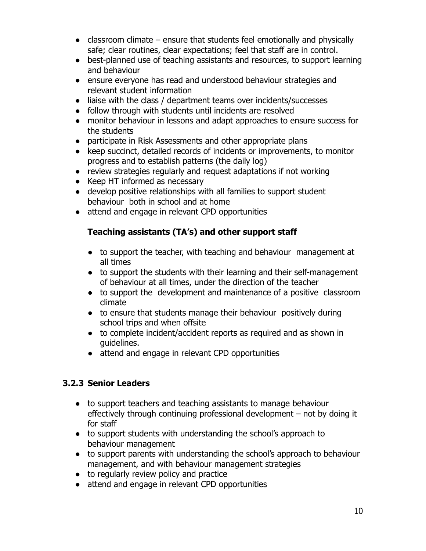- $\bullet$  classroom climate ensure that students feel emotionally and physically safe; clear routines, clear expectations; feel that staff are in control.
- best-planned use of teaching assistants and resources, to support learning and behaviour
- ensure everyone has read and understood behaviour strategies and relevant student information
- liaise with the class / department teams over incidents/successes
- follow through with students until incidents are resolved
- monitor behaviour in lessons and adapt approaches to ensure success for the students
- participate in Risk Assessments and other appropriate plans
- keep succinct, detailed records of incidents or improvements, to monitor progress and to establish patterns (the daily log)
- review strategies regularly and request adaptations if not working
- Keep HT informed as necessary
- develop positive relationships with all families to support student behaviour both in school and at home
- attend and engage in relevant CPD opportunities

## **Teaching assistants (TA's) and other support staff**

- to support the teacher, with teaching and behaviour management at all times
- to support the students with their learning and their self-management of behaviour at all times, under the direction of the teacher
- to support the development and maintenance of a positive classroom climate
- to ensure that students manage their behaviour positively during school trips and when offsite
- to complete incident/accident reports as required and as shown in guidelines.
- attend and engage in relevant CPD opportunities

# **3.2.3 Senior Leaders**

- to support teachers and teaching assistants to manage behaviour effectively through continuing professional development – not by doing it for staff
- to support students with understanding the school's approach to behaviour management
- to support parents with understanding the school's approach to behaviour management, and with behaviour management strategies
- to regularly review policy and practice
- attend and engage in relevant CPD opportunities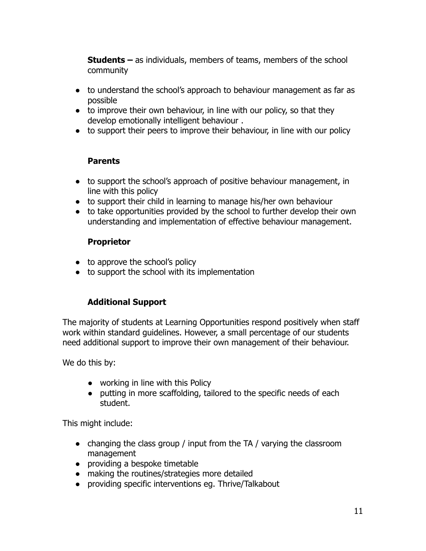**Students –** as individuals, members of teams, members of the school community

- to understand the school's approach to behaviour management as far as possible
- to improve their own behaviour, in line with our policy, so that they develop emotionally intelligent behaviour .
- to support their peers to improve their behaviour, in line with our policy

## **Parents**

- to support the school's approach of positive behaviour management, in line with this policy
- to support their child in learning to manage his/her own behaviour
- to take opportunities provided by the school to further develop their own understanding and implementation of effective behaviour management.

## **Proprietor**

- to approve the school's policy
- to support the school with its implementation

## **Additional Support**

The majority of students at Learning Opportunities respond positively when staff work within standard guidelines. However, a small percentage of our students need additional support to improve their own management of their behaviour.

We do this by:

- working in line with this Policy
- putting in more scaffolding, tailored to the specific needs of each student.

This might include:

- changing the class group / input from the TA / varying the classroom management
- providing a bespoke timetable
- making the routines/strategies more detailed
- providing specific interventions eg. Thrive/Talkabout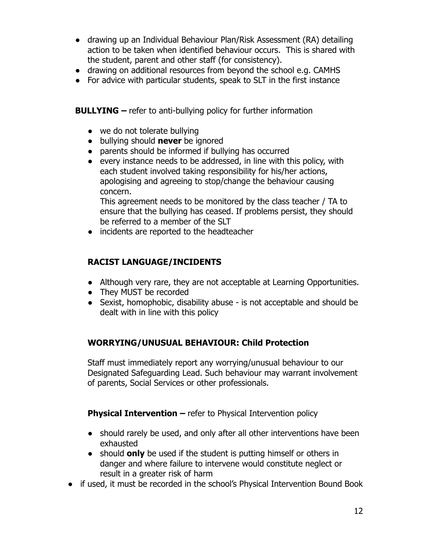- drawing up an Individual Behaviour Plan/Risk Assessment (RA) detailing action to be taken when identified behaviour occurs. This is shared with the student, parent and other staff (for consistency).
- drawing on additional resources from beyond the school e.g. CAMHS
- For advice with particular students, speak to SLT in the first instance

**BULLYING –** refer to anti-bullying policy for further information

- we do not tolerate bullying
- bullying should **never** be ignored
- parents should be informed if bullying has occurred
- every instance needs to be addressed, in line with this policy, with each student involved taking responsibility for his/her actions, apologising and agreeing to stop/change the behaviour causing concern.

This agreement needs to be monitored by the class teacher / TA to ensure that the bullying has ceased. If problems persist, they should be referred to a member of the SLT

• incidents are reported to the headteacher

## **RACIST LANGUAGE/INCIDENTS**

- Although very rare, they are not acceptable at Learning Opportunities.
- They MUST be recorded
- Sexist, homophobic, disability abuse is not acceptable and should be dealt with in line with this policy

## **WORRYING/UNUSUAL BEHAVIOUR: Child Protection**

Staff must immediately report any worrying/unusual behaviour to our Designated Safeguarding Lead. Such behaviour may warrant involvement of parents, Social Services or other professionals.

**Physical Intervention** – refer to Physical Intervention policy

- should rarely be used, and only after all other interventions have been exhausted
- should **only** be used if the student is putting himself or others in danger and where failure to intervene would constitute neglect or result in a greater risk of harm
- if used, it must be recorded in the school's Physical Intervention Bound Book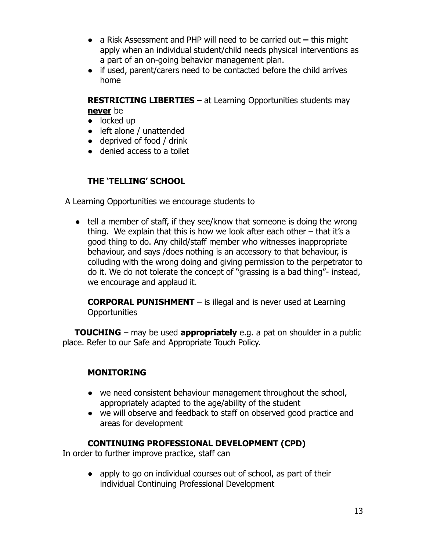- a Risk Assessment and PHP will need to be carried out **–** this might apply when an individual student/child needs physical interventions as a part of an on-going behavior management plan.
- if used, parent/carers need to be contacted before the child arrives home

**RESTRICTING LIBERTIES** – at Learning Opportunities students may **never** be

- locked up
- left alone / unattended
- deprived of food / drink
- denied access to a toilet

## **THE 'TELLING' SCHOOL**

A Learning Opportunities we encourage students to

• tell a member of staff, if they see/know that someone is doing the wrong thing. We explain that this is how we look after each other – that it's a good thing to do. Any child/staff member who witnesses inappropriate behaviour, and says /does nothing is an accessory to that behaviour, is colluding with the wrong doing and giving permission to the perpetrator to do it. We do not tolerate the concept of "grassing is a bad thing"- instead, we encourage and applaud it.

**CORPORAL PUNISHMENT** – is illegal and is never used at Learning **Opportunities** 

**TOUCHING** – may be used **appropriately** e.g. a pat on shoulder in a public place. Refer to our Safe and Appropriate Touch Policy.

## **MONITORING**

- we need consistent behaviour management throughout the school, appropriately adapted to the age/ability of the student
- we will observe and feedback to staff on observed good practice and areas for development

## **CONTINUING PROFESSIONAL DEVELOPMENT (CPD)**

In order to further improve practice, staff can

• apply to go on individual courses out of school, as part of their individual Continuing Professional Development